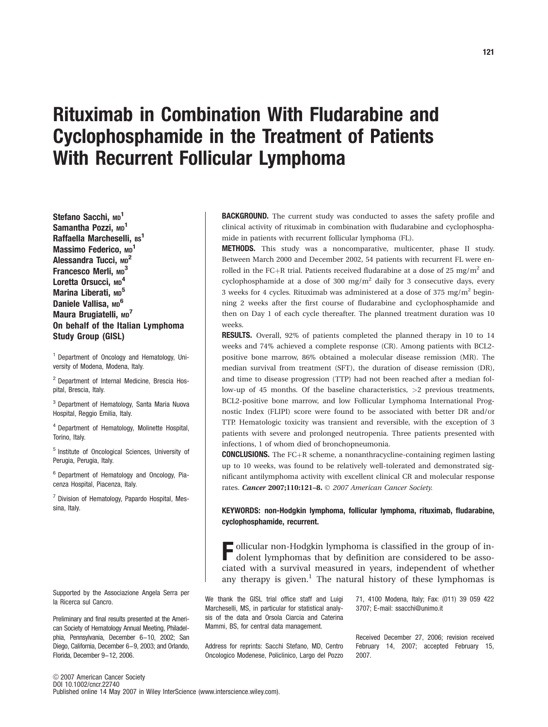# Rituximab in Combination With Fludarabine and Cyclophosphamide in the Treatment of Patients With Recurrent Follicular Lymphoma

Stefano Sacchi, MD<sup>1</sup> Samantha Pozzi, MD<sup>1</sup> Raffaella Marcheselli, BS<sup>1</sup> Massimo Federico, MD<sup>1</sup> Alessandra Tucci, MD<sup>2</sup> Francesco Merli, MD<sup>3</sup> Loretta Orsucci, MD<sup>4</sup> Marina Liberati, MD<sup>5</sup> Daniele Vallisa, MD<sup>6</sup> Maura Brugiatelli, MD<sup>7</sup> On behalf of the Italian Lymphoma Study Group (GISL)

<sup>1</sup> Department of Oncology and Hematology, University of Modena, Modena, Italy.

<sup>2</sup> Department of Internal Medicine, Brescia Hospital, Brescia, Italy.

<sup>3</sup> Department of Hematology, Santa Maria Nuova Hospital, Reggio Emilia, Italy.

<sup>4</sup> Department of Hematology, Molinette Hospital, Torino, Italy.

<sup>5</sup> Institute of Oncological Sciences, University of Perugia, Perugia, Italy.

<sup>6</sup> Department of Hematology and Oncology, Piacenza Hospital, Piacenza, Italy.

<sup>7</sup> Division of Hematology, Papardo Hospital, Messina, Italy.

Supported by the Associazione Angela Serra per la Ricerca sul Cancro.

Preliminary and final results presented at the American Society of Hematology Annual Meeting, Philadelphia, Pennsylvania, December 6-10, 2002; San Diego, California, December 6-9, 2003; and Orlando, Florida, December 9-12, 2006.

BACKGROUND. The current study was conducted to asses the safety profile and clinical activity of rituximab in combination with fludarabine and cyclophosphamide in patients with recurrent follicular lymphoma (FL).

METHODS. This study was a noncomparative, multicenter, phase II study. Between March 2000 and December 2002, 54 patients with recurrent FL were enrolled in the FC+R trial. Patients received fludarabine at a dose of 25 mg/m<sup>2</sup> and cyclophosphamide at a dose of 300 mg/m<sup>2</sup> daily for 3 consecutive days, every 3 weeks for 4 cycles. Rituximab was administered at a dose of 375 mg/m2 beginning 2 weeks after the first course of fludarabine and cyclophosphamide and then on Day 1 of each cycle thereafter. The planned treatment duration was 10 weeks.

RESULTS. Overall, 92% of patients completed the planned therapy in 10 to 14 weeks and 74% achieved a complete response (CR). Among patients with BCL2 positive bone marrow, 86% obtained a molecular disease remission (MR). The median survival from treatment (SFT), the duration of disease remission (DR), and time to disease progression (TTP) had not been reached after a median follow-up of 45 months. Of the baseline characteristics, >2 previous treatments, BCL2-positive bone marrow, and low Follicular Lymphoma International Prognostic Index (FLIPI) score were found to be associated with better DR and/or TTP. Hematologic toxicity was transient and reversible, with the exception of 3 patients with severe and prolonged neutropenia. Three patients presented with infections, 1 of whom died of bronchopneumonia.

**CONCLUSIONS.** The  $FC+R$  scheme, a nonanthracycline-containing regimen lasting up to 10 weeks, was found to be relatively well-tolerated and demonstrated significant antilymphoma activity with excellent clinical CR and molecular response rates. Cancer 2007;110:121-8. © 2007 American Cancer Society.

KEYWORDS: non-Hodgkin lymphoma, follicular lymphoma, rituximab, fludarabine, cyclophosphamide, recurrent.

F ollicular non-Hodgkin lymphoma is classified in the group of indolent lymphomas that by definition are considered to be associated with a survival measured in years, independent of whether any therapy is given. $<sup>1</sup>$  The natural history of these lymphomas is</sup>

We thank the GISL trial office staff and Luigi Marcheselli, MS, in particular for statistical analysis of the data and Orsola Ciarcia and Caterina Mammi, BS, for central data management.

Address for reprints: Sacchi Stefano, MD, Centro Oncologico Modenese, Policlinico, Largo del Pozzo

71, 4100 Modena, Italy; Fax: (011) 39 059 422 3707; E-mail: ssacchi@unimo.it

Received December 27, 2006; revision received February 14, 2007; accepted February 15, 2007.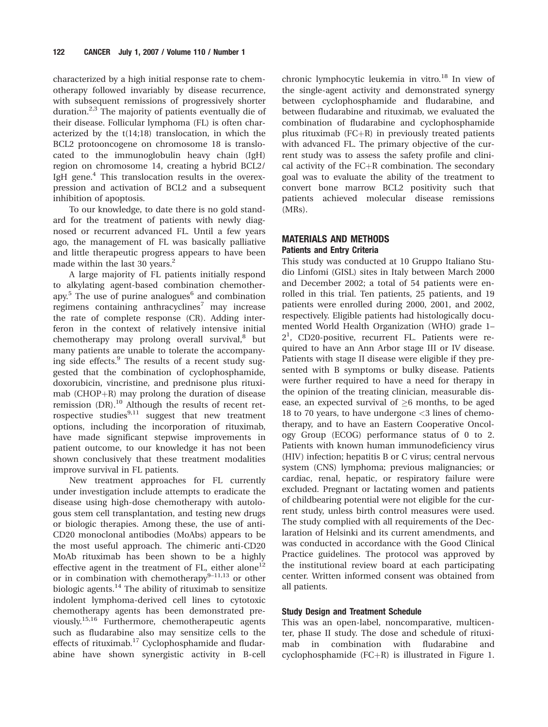characterized by a high initial response rate to chemotherapy followed invariably by disease recurrence, with subsequent remissions of progressively shorter duration. $2,3$  The majority of patients eventually die of their disease. Follicular lymphoma (FL) is often characterized by the t(14;18) translocation, in which the BCL2 protooncogene on chromosome 18 is translocated to the immunoglobulin heavy chain (IgH) region on chromosome 14, creating a hybrid BCL2/ IgH gene.<sup>4</sup> This translocation results in the overexpression and activation of BCL2 and a subsequent inhibition of apoptosis.

To our knowledge, to date there is no gold standard for the treatment of patients with newly diagnosed or recurrent advanced FL. Until a few years ago, the management of FL was basically palliative and little therapeutic progress appears to have been made within the last 30 years. $<sup>2</sup>$ </sup>

A large majority of FL patients initially respond to alkylating agent-based combination chemotherapy. $5$  The use of purine analogues $6$  and combination regimens containing anthracyclines<sup>7</sup> may increase the rate of complete response (CR). Adding interferon in the context of relatively intensive initial chemotherapy may prolong overall survival,<sup>8</sup> but many patients are unable to tolerate the accompanying side effects.<sup>9</sup> The results of a recent study suggested that the combination of cyclophosphamide, doxorubicin, vincristine, and prednisone plus rituximab ( $CHOP+R$ ) may prolong the duration of disease remission (DR).<sup>10</sup> Although the results of recent retrospective studies $9,11$  suggest that new treatment options, including the incorporation of rituximab, have made significant stepwise improvements in patient outcome, to our knowledge it has not been shown conclusively that these treatment modalities improve survival in FL patients.

New treatment approaches for FL currently under investigation include attempts to eradicate the disease using high-dose chemotherapy with autologous stem cell transplantation, and testing new drugs or biologic therapies. Among these, the use of anti-CD20 monoclonal antibodies (MoAbs) appears to be the most useful approach. The chimeric anti-CD20 MoAb rituximab has been shown to be a highly effective agent in the treatment of FL, either alone<sup>12</sup> or in combination with chemotherapy $9-11,13$  or other biologic agents. $^{14}$  The ability of rituximab to sensitize indolent lymphoma-derived cell lines to cytotoxic chemotherapy agents has been demonstrated previously.<sup>15,16</sup> Furthermore, chemotherapeutic agents such as fludarabine also may sensitize cells to the effects of rituximab.<sup>17</sup> Cyclophosphamide and fludarabine have shown synergistic activity in B-cell chronic lymphocytic leukemia in vitro.<sup>18</sup> In view of the single-agent activity and demonstrated synergy between cyclophosphamide and fludarabine, and between fludarabine and rituximab, we evaluated the combination of fludarabine and cyclophosphamide plus rituximab  $(FC+R)$  in previously treated patients with advanced FL. The primary objective of the current study was to assess the safety profile and clinical activity of the  $FC+R$  combination. The secondary goal was to evaluate the ability of the treatment to convert bone marrow BCL2 positivity such that patients achieved molecular disease remissions (MRs).

# MATERIALS AND METHODS Patients and Entry Criteria

This study was conducted at 10 Gruppo Italiano Studio Linfomi (GISL) sites in Italy between March 2000 and December 2002; a total of 54 patients were enrolled in this trial. Ten patients, 25 patients, and 19 patients were enrolled during 2000, 2001, and 2002, respectively. Eligible patients had histologically documented World Health Organization (WHO) grade 1– 21 , CD20-positive, recurrent FL. Patients were required to have an Ann Arbor stage III or IV disease. Patients with stage II disease were eligible if they presented with B symptoms or bulky disease. Patients were further required to have a need for therapy in the opinion of the treating clinician, measurable disease, an expected survival of  $\geq 6$  months, to be aged 18 to 70 years, to have undergone <3 lines of chemotherapy, and to have an Eastern Cooperative Oncology Group (ECOG) performance status of 0 to 2. Patients with known human immunodeficiency virus (HIV) infection; hepatitis B or C virus; central nervous system (CNS) lymphoma; previous malignancies; or cardiac, renal, hepatic, or respiratory failure were excluded. Pregnant or lactating women and patients of childbearing potential were not eligible for the current study, unless birth control measures were used. The study complied with all requirements of the Declaration of Helsinki and its current amendments, and was conducted in accordance with the Good Clinical Practice guidelines. The protocol was approved by the institutional review board at each participating center. Written informed consent was obtained from all patients.

# Study Design and Treatment Schedule

This was an open-label, noncomparative, multicenter, phase II study. The dose and schedule of rituximab in combination with fludarabine and cyclophosphamide (FC $+R$ ) is illustrated in Figure 1.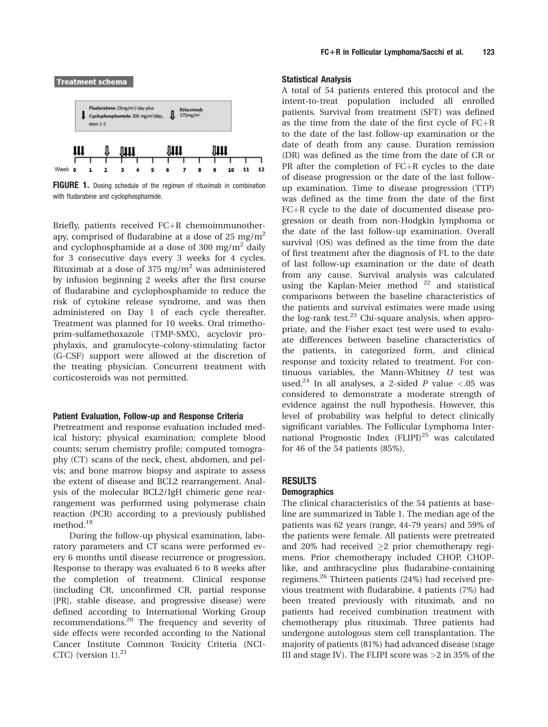

FIGURE 1. Dosing schedule of the regimen of rituximab in combination with fludarabine and cyclophosphamide.

Briefly, patients received  $FC+R$  chemoimmunotherapy, comprised of fludarabine at a dose of 25 mg/ $m<sup>2</sup>$ and cyclophosphamide at a dose of 300 mg/m<sup>2</sup> daily for 3 consecutive days every 3 weeks for 4 cycles. Rituximab at a dose of 375 mg/m<sup>2</sup> was administered by infusion beginning 2 weeks after the first course of fludarabine and cyclophosphamide to reduce the risk of cytokine release syndrome, and was then administered on Day 1 of each cycle thereafter. Treatment was planned for 10 weeks. Oral trimethoprim-sulfamethoxazole (TMP-SMX), acyclovir prophylaxis, and granulocyte–colony-stimulating factor (G-CSF) support were allowed at the discretion of the treating physician. Concurrent treatment with corticosteroids was not permitted.

#### Patient Evaluation, Follow-up and Response Criteria

Pretreatment and response evaluation included medical history; physical examination; complete blood counts; serum chemistry profile; computed tomography (CT) scans of the neck, chest, abdomen, and pelvis; and bone marrow biopsy and aspirate to assess the extent of disease and BCL2 rearrangement. Analysis of the molecular BCL2/IgH chimeric gene rearrangement was performed using polymerase chain reaction (PCR) according to a previously published method.<sup>19</sup>

During the follow-up physical examination, laboratory parameters and CT scans were performed every 6 months until disease recurrence or progression. Response to therapy was evaluated 6 to 8 weeks after the completion of treatment. Clinical response (including CR, unconfirmed CR, partial response [PR], stable disease, and progressive disease) were defined according to International Working Group recommendations.20 The frequency and severity of side effects were recorded according to the National Cancer Institute Common Toxicity Criteria (NCI-CTC) (version  $1$ ).<sup>21</sup>

#### Statistical Analysis

A total of 54 patients entered this protocol and the intent-to-treat population included all enrolled patients. Survival from treatment (SFT) was defined as the time from the date of the first cycle of  $FC+R$ to the date of the last follow-up examination or the date of death from any cause. Duration remission (DR) was defined as the time from the date of CR or PR after the completion of  $FC+R$  cycles to the date of disease progression or the date of the last followup examination. Time to disease progression (TTP) was defined as the time from the date of the first  $FC+R$  cycle to the date of documented disease progression or death from non-Hodgkin lymphoma or the date of the last follow-up examination. Overall survival (OS) was defined as the time from the date of first treatment after the diagnosis of FL to the date of last follow-up examination or the date of death from any cause. Survival analysis was calculated using the Kaplan-Meier method <sup>22</sup> and statistical comparisons between the baseline characteristics of the patients and survival estimates were made using the log-rank test. $23$  Chi-square analysis, when appropriate, and the Fisher exact test were used to evaluate differences between baseline characteristics of the patients, in categorized form, and clinical response and toxicity related to treatment. For continuous variables, the Mann-Whitney  $U$  test was used.<sup>24</sup> In all analyses, a 2-sided P value <.05 was considered to demonstrate a moderate strength of evidence against the null hypothesis. However, this level of probability was helpful to detect clinically significant variables. The Follicular Lymphoma International Prognostic Index  $(FLIPI)^{25}$  was calculated for 46 of the 54 patients (85%).

# RESULTS

## **Demographics**

The clinical characteristics of the 54 patients at baseline are summarized in Table 1. The median age of the patients was 62 years (range, 44-79 years) and 59% of the patients were female. All patients were pretreated and 20% had received  $\geq$ 2 prior chemotherapy regimens. Prior chemotherapy included CHOP, CHOPlike, and anthracycline plus fludarabine-containing regimens.26 Thirteen patients (24%) had received previous treatment with fludarabine, 4 patients (7%) had been treated previously with rituximab, and no patients had received combination treatment with chemotherapy plus rituximab. Three patients had undergone autologous stem cell transplantation. The majority of patients (81%) had advanced disease (stage III and stage IV). The FLIPI score was >2 in 35% of the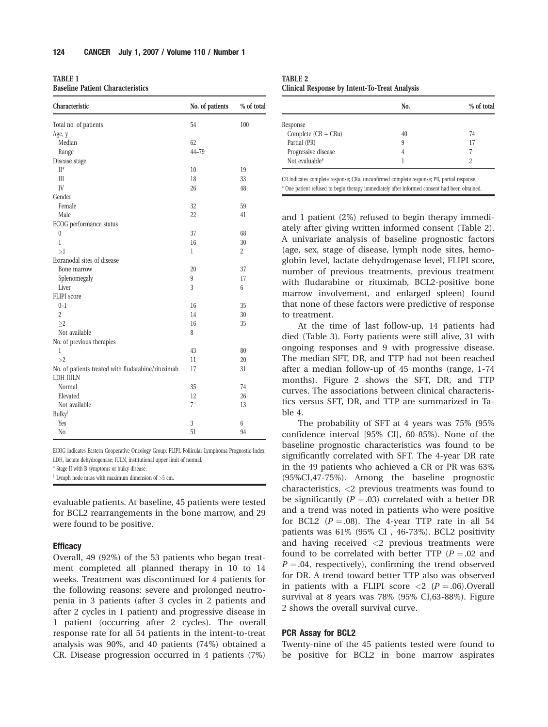TABLE 1 Baseline Patient Characteristics

| Characteristic                                     | No. of patients | % of total     |  |
|----------------------------------------------------|-----------------|----------------|--|
| Total no. of patients                              | 54              | 100            |  |
| Age, y                                             |                 |                |  |
| Median                                             | 62              |                |  |
| Range                                              | $44 - 79$       |                |  |
| Disease stage                                      |                 |                |  |
| $\Pi^*$                                            | 10              | 19             |  |
| III                                                | 18              | 33             |  |
| IV                                                 | 26              | 48             |  |
| Gender                                             |                 |                |  |
| Female                                             | 32              | 59             |  |
| Male                                               | 22              | 41             |  |
| ECOG performance status                            |                 |                |  |
| $\boldsymbol{0}$                                   | 37              | 68             |  |
| $\mathbf{1}$                                       | 16              | 30             |  |
| >1                                                 | 1               | $\overline{2}$ |  |
| Extranodal sites of disease                        |                 |                |  |
| Bone marrow                                        | 20              | 37             |  |
| Splenomegaly                                       | 9               | 17             |  |
| Liver                                              | 3               | 6              |  |
| FLIPI score                                        |                 |                |  |
| $0 - 1$                                            | 16              | 35             |  |
| $\overline{2}$                                     | 14              | 30             |  |
| >2                                                 | 16              | 35             |  |
| Not available                                      | 8               |                |  |
| No. of previous therapies                          |                 |                |  |
| 1                                                  | 43              | 80             |  |
| >2                                                 | 11              | 20             |  |
| No. of patients treated with fludarabine/rituximab | 17              | 31             |  |
| LDH IULN                                           |                 |                |  |
| Normal                                             | 35              | 74             |  |
| Elevated                                           | 12              | 26             |  |
| Not available                                      | $\overline{7}$  | 13             |  |
| <b>Bulky</b> <sup>†</sup>                          |                 |                |  |
| Yes                                                | 3               | 6              |  |
| N <sub>0</sub>                                     | 51              | 94             |  |

ECOG indicates Eastern Cooperative Oncology Group; FLIPI, Follicular Lymphoma Prognostic Index; LDH, lactate dehydrogenase; IULN, institutional upper limit of normal.

\* Stage II with B symptoms or bulky disease.

 $\dagger$  Lymph node mass with maximum dimension of  $>5$  cm.

evaluable patients. At baseline, 45 patients were tested for BCL2 rearrangements in the bone marrow, and 29 were found to be positive.

## **Efficacy**

Overall, 49 (92%) of the 53 patients who began treatment completed all planned therapy in 10 to 14 weeks. Treatment was discontinued for 4 patients for the following reasons: severe and prolonged neutropenia in 3 patients (after 3 cycles in 2 patients and after 2 cycles in 1 patient) and progressive disease in 1 patient (occurring after 2 cycles). The overall response rate for all 54 patients in the intent-to-treat analysis was 90%, and 40 patients (74%) obtained a CR. Disease progression occurred in 4 patients (7%)

TABLE 2 Clinical Response by Intent-To-Treat Analysis

|                       | No. | % of total |
|-----------------------|-----|------------|
| Response              |     |            |
| Complete $(CR + CRu)$ | 40  | 74         |
| Partial (PR)          | 9   | 17         |
| Progressive disease   | 4   |            |
| Not evaluable*        |     |            |

CR indicates complete response; CRu, unconfirmed complete response; PR, partial response. \* One patient refused to begin therapy immediately after informed consent had been obtained.

and 1 patient (2%) refused to begin therapy immediately after giving written informed consent (Table 2). A univariate analysis of baseline prognostic factors (age, sex, stage of disease, lymph node sites, hemoglobin level, lactate dehydrogenase level, FLIPI score, number of previous treatments, previous treatment with fludarabine or rituximab, BCL2-positive bone marrow involvement, and enlarged spleen) found that none of these factors were predictive of response to treatment.

At the time of last follow-up, 14 patients had died (Table 3). Forty patients were still alive, 31 with ongoing responses and 9 with progressive disease. The median SFT, DR, and TTP had not been reached after a median follow-up of 45 months (range, 1-74 months). Figure 2 shows the SFT, DR, and TTP curves. The associations between clinical characteristics versus SFT, DR, and TTP are summarized in Table 4.

The probability of SFT at 4 years was 75% (95% confidence interval [95% CI], 60-85%). None of the baseline prognostic characteristics was found to be significantly correlated with SFT. The 4-year DR rate in the 49 patients who achieved a CR or PR was 63% (95%CI,47-75%). Among the baseline prognostic characteristics, <2 previous treatments was found to be significantly ( $P = .03$ ) correlated with a better DR and a trend was noted in patients who were positive for BCL2 ( $P = .08$ ). The 4-year TTP rate in all 54 patients was 61% (95% CI , 46-73%). BCL2 positivity and having received <2 previous treatments were found to be correlated with better TTP ( $P = .02$  and  $P = .04$ , respectively), confirming the trend observed for DR. A trend toward better TTP also was observed in patients with a FLIPI score  $\langle 2 \rangle$  (P = .06). Overall survival at 8 years was 78% (95% CI,63-88%). Figure 2 shows the overall survival curve.

#### PCR Assay for BCL2

Twenty-nine of the 45 patients tested were found to be positive for BCL2 in bone marrow aspirates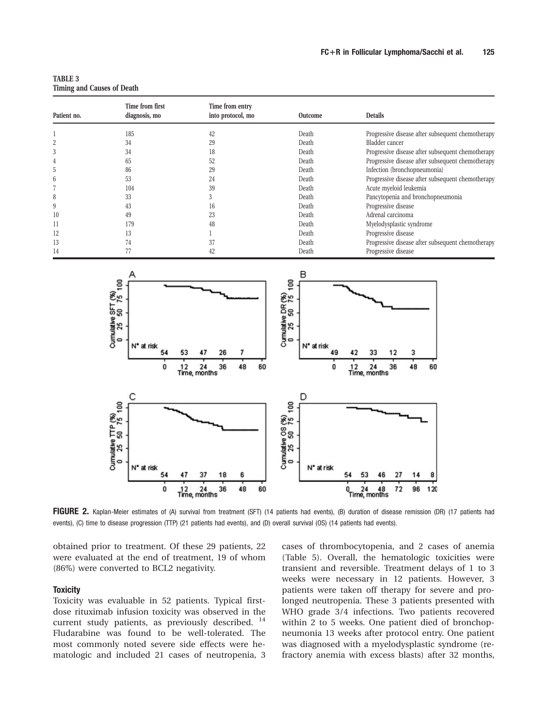TABLE 3 Timing and Causes of Death

| Patient no.    | Time from first<br>diagnosis, mo | Time from entry<br>into protocol, mo | <b>Outcome</b> | <b>Details</b>                                    |
|----------------|----------------------------------|--------------------------------------|----------------|---------------------------------------------------|
|                |                                  |                                      |                |                                                   |
|                | 185                              | 42                                   | Death          | Progressive disease after subsequent chemotherapy |
| $\overline{2}$ | 34                               | 29                                   | Death          | Bladder cancer                                    |
| 3              | 34                               | 18                                   | Death          | Progressive disease after subsequent chemotherapy |
| 4              | 65                               | 52                                   | Death          | Progressive disease after subsequent chemotherapy |
| 5              | 86                               | 29                                   | Death          | Infection (bronchopneumonia)                      |
| 6              | 53                               | 24                                   | Death          | Progressive disease after subsequent chemotherapy |
|                | 104                              | 39                                   | Death          | Acute myeloid leukemia                            |
| 8              | 33                               |                                      | Death          | Pancytopenia and bronchopneumonia                 |
| 9              | 43                               | 16                                   | Death          | Progressive disease                               |
| 10             | 49                               | 23                                   | Death          | Adrenal carcinoma                                 |
| 11             | 179                              | 48                                   | Death          | Myelodysplastic syndrome                          |
| 12             | 13                               |                                      | Death          | Progressive disease                               |
| 13             | 74                               | 37                                   | Death          | Progressive disease after subsequent chemotherapy |
| 14             | $\prime\prime$                   | 42                                   | Death          | Progressive disease                               |



FIGURE 2. Kaplan-Meier estimates of (A) survival from treatment (SFT) (14 patients had events), (B) duration of disease remission (DR) (17 patients had events), (C) time to disease progression (TTP) (21 patients had events), and (D) overall survival (OS) (14 patients had events).

obtained prior to treatment. Of these 29 patients, 22 were evaluated at the end of treatment, 19 of whom (86%) were converted to BCL2 negativity.

# **Toxicity**

Toxicity was evaluable in 52 patients. Typical firstdose rituximab infusion toxicity was observed in the current study patients, as previously described. <sup>14</sup> Fludarabine was found to be well-tolerated. The most commonly noted severe side effects were hematologic and included 21 cases of neutropenia, 3

cases of thrombocytopenia, and 2 cases of anemia (Table 5). Overall, the hematologic toxicities were transient and reversible. Treatment delays of 1 to 3 weeks were necessary in 12 patients. However, 3 patients were taken off therapy for severe and prolonged neutropenia. These 3 patients presented with WHO grade 3/4 infections. Two patients recovered within 2 to 5 weeks. One patient died of bronchopneumonia 13 weeks after protocol entry. One patient was diagnosed with a myelodysplastic syndrome (refractory anemia with excess blasts) after 32 months,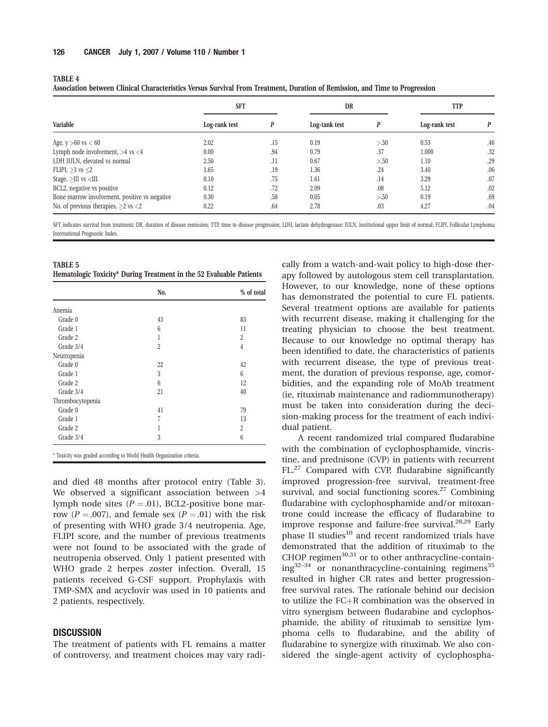TABLE 4

| Association between Clinical Characteristics Versus Survival From Treatment, Duration of Remission, and Time to Progression |               |     |               |      |               |     |
|-----------------------------------------------------------------------------------------------------------------------------|---------------|-----|---------------|------|---------------|-----|
| Variable                                                                                                                    | <b>SFT</b>    |     | DR            |      | <b>TTP</b>    |     |
|                                                                                                                             | Log-rank test |     | Log-tank test |      | Log-rank test | P   |
| Age, $y > 60$ vs $< 60$                                                                                                     | 2.02          | .15 | 0.19          | > 50 | 0.53          | .46 |
| Lymph node involvement, $>4$ vs $<4$                                                                                        | 0.00          | .94 | 0.79          | .37  | 1.000         | .32 |
| LDH IULN, elevated vs normal                                                                                                | 2.50          | .11 | 0.67          | > 50 | 1.10          | .29 |
| FLIPI, $>3$ vs $<2$                                                                                                         | 1.65          | .19 | 1.36          | .24  | 3.40          | .06 |
| Stage, $>III$ vs $$                                                                                                         | 0.10          | .75 | 1.61          | .14  | 3.29          | .07 |
| BCL2, negative vs positive                                                                                                  | 0.12          | .72 | 2.09          | .08  | 5.12          | .02 |

SFT indicates survival from treatment; DR, duration of disease remission; TTP, time to disease progression; LDH, lactate dehydrogenase; IULN, institutional upper limit of normal; FLIPI, Follicular Lymphoma International Prognostic Index.

Bone marrow involvement, positive vs negative  $0.30$   $58$   $0.05$   $>50$   $0.19$   $50$ No. of previous therapies,  $>2$  vs  $< 2$  0.22 .64 2.78 .03 4.27 .04 .03

| <b>TABLE 5</b>                                                      |  |  |  |  |
|---------------------------------------------------------------------|--|--|--|--|
| Hematologic Toxicity* During Treatment in the 52 Evaluable Patients |  |  |  |  |

|                  | No.            | % of total     |
|------------------|----------------|----------------|
| Anemia           |                |                |
| Grade 0          | 43             | 83             |
| Grade 1          | 6              | 11             |
| Grade 2          | 1              | $\overline{2}$ |
| Grade 3/4        | $\overline{2}$ | $\overline{4}$ |
| Neutropenia      |                |                |
| Grade 0          | 22             | 42             |
| Grade 1          | 3              | 6              |
| Grade 2          | 6              | 12             |
| Grade 3/4        | 21             | 40             |
| Thrombocytopenia |                |                |
| Grade 0          | 41             | 79             |
| Grade 1          | 7              | 13             |
| Grade 2          | 1              | $\overline{2}$ |
| Grade 3/4        | 3              | 6              |

\* Toxicity was graded according to World Health Organization criteria.

and died 48 months after protocol entry (Table 3). We observed a significant association between  $>4$ lymph node sites  $(P = .01)$ , BCL2-positive bone marrow ( $P = .007$ ), and female sex ( $P = .01$ ) with the risk of presenting with WHO grade 3/4 neutropenia. Age, FLIPI score, and the number of previous treatments were not found to be associated with the grade of neutropenia observed. Only 1 patient presented with WHO grade 2 herpes zoster infection. Overall, 15 patients received G-CSF support. Prophylaxis with TMP-SMX and acyclovir was used in 10 patients and 2 patients, respectively.

# **DISCUSSION**

The treatment of patients with FL remains a matter of controversy, and treatment choices may vary radically from a watch-and-wait policy to high-dose therapy followed by autologous stem cell transplantation. However, to our knowledge, none of these options has demonstrated the potential to cure FL patients. Several treatment options are available for patients with recurrent disease, making it challenging for the treating physician to choose the best treatment. Because to our knowledge no optimal therapy has been identified to date, the characteristics of patients with recurrent disease, the type of previous treatment, the duration of previous response, age, comorbidities, and the expanding role of MoAb treatment (ie, rituximab maintenance and radiommunotherapy) must be taken into consideration during the decision-making process for the treatment of each individual patient.

A recent randomized trial compared fludarabine with the combination of cyclophosphamide, vincristine, and prednisone (CVP) in patients with recurrent FL.27 Compared with CVP, fludarabine significantly improved progression-free survival, treatment-free survival, and social functioning scores. $27$  Combining fludarabine with cyclophosphamide and/or mitoxantrone could increase the efficacy of fludarabine to improve response and failure-free survival. $^{28,29}$  Early phase II studies<sup>10</sup> and recent randomized trials have demonstrated that the addition of rituximab to the CHOP regimen $30,31$  or to other anthracycline-contain $ing^{32-34}$  or nonanthracycline-containing regimens<sup>35</sup> resulted in higher CR rates and better progressionfree survival rates. The rationale behind our decision to utilize the  $FC+R$  combination was the observed in vitro synergism between fludarabine and cyclophosphamide, the ability of rituximab to sensitize lymphoma cells to fludarabine, and the ability of fludarabine to synergize with rituximab. We also considered the single-agent activity of cyclophospha-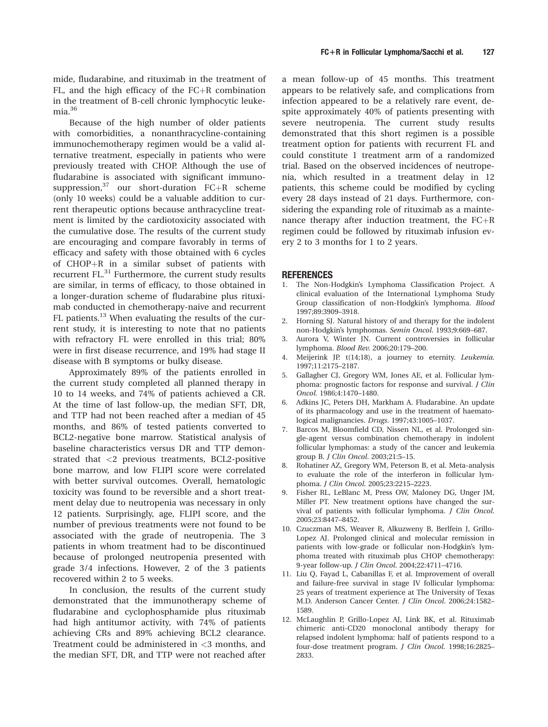mide, fludarabine, and rituximab in the treatment of FL, and the high efficacy of the  $FC+R$  combination in the treatment of B-cell chronic lymphocytic leukemia.<sup>36</sup>

Because of the high number of older patients with comorbidities, a nonanthracycline-containing immunochemotherapy regimen would be a valid alternative treatment, especially in patients who were previously treated with CHOP. Although the use of fludarabine is associated with significant immunosuppression,  $37$  our short-duration FC+R scheme (only 10 weeks) could be a valuable addition to current therapeutic options because anthracycline treatment is limited by the cardiotoxicity associated with the cumulative dose. The results of the current study are encouraging and compare favorably in terms of efficacy and safety with those obtained with 6 cycles of  $CHOP+R$  in a similar subset of patients with recurrent FL.<sup>31</sup> Furthermore, the current study results are similar, in terms of efficacy, to those obtained in a longer-duration scheme of fludarabine plus rituximab conducted in chemotherapy-naive and recurrent FL patients.<sup>13</sup> When evaluating the results of the current study, it is interesting to note that no patients with refractory FL were enrolled in this trial; 80% were in first disease recurrence, and 19% had stage II disease with B symptoms or bulky disease.

Approximately 89% of the patients enrolled in the current study completed all planned therapy in 10 to 14 weeks, and 74% of patients achieved a CR. At the time of last follow-up, the median SFT, DR, and TTP had not been reached after a median of 45 months, and 86% of tested patients converted to BCL2-negative bone marrow. Statistical analysis of baseline characteristics versus DR and TTP demonstrated that <2 previous treatments, BCL2-positive bone marrow, and low FLIPI score were correlated with better survival outcomes. Overall, hematologic toxicity was found to be reversible and a short treatment delay due to neutropenia was necessary in only 12 patients. Surprisingly, age, FLIPI score, and the number of previous treatments were not found to be associated with the grade of neutropenia. The 3 patients in whom treatment had to be discontinued because of prolonged neutropenia presented with grade 3/4 infections. However, 2 of the 3 patients recovered within 2 to 5 weeks.

In conclusion, the results of the current study demonstrated that the immunotherapy scheme of fludarabine and cyclophosphamide plus rituximab had high antitumor activity, with 74% of patients achieving CRs and 89% achieving BCL2 clearance. Treatment could be administered in <3 months, and the median SFT, DR, and TTP were not reached after

a mean follow-up of 45 months. This treatment appears to be relatively safe, and complications from infection appeared to be a relatively rare event, despite approximately 40% of patients presenting with severe neutropenia. The current study results demonstrated that this short regimen is a possible treatment option for patients with recurrent FL and could constitute 1 treatment arm of a randomized trial. Based on the observed incidences of neutropenia, which resulted in a treatment delay in 12 patients, this scheme could be modified by cycling every 28 days instead of 21 days. Furthermore, considering the expanding role of rituximab as a maintenance therapy after induction treatment, the  $FC+R$ regimen could be followed by rituximab infusion every 2 to 3 months for 1 to 2 years.

## REFERENCES

- 1. The Non-Hodgkin's Lymphoma Classification Project. A clinical evaluation of the International Lymphoma Study Group classification of non-Hodgkin's lymphoma. Blood 1997;89:3909–3918.
- 2. Horning SJ. Natural history of and therapy for the indolent non-Hodgkin's lymphomas. Semin Oncol. 1993;9:669–687.
- 3. Aurora V, Winter JN. Current controversies in follicular lymphoma. Blood Rev. 2006;20:179–200.
- 4. Meijerink JP. t(14;18), a journey to eternity. Leukemia. 1997;11:2175–2187.
- 5. Gallagher CJ, Gregory WM, Jones AE, et al. Follicular lymphoma: prognostic factors for response and survival. J Clin Oncol. 1986;4:1470–1480.
- 6. Adkins JC, Peters DH, Markham A. Fludarabine. An update of its pharmacology and use in the treatment of haematological malignancies. Drugs. 1997;43:1005–1037.
- 7. Barcos M, Bloomfield CD, Nissen NL, et al. Prolonged single-agent versus combination chemotherapy in indolent follicular lymphomas: a study of the cancer and leukemia group B. J Clin Oncol. 2003;21:5–15.
- 8. Rohatiner AZ, Gregory WM, Peterson B, et al. Meta-analysis to evaluate the role of the interferon in follicular lymphoma. J Clin Oncol. 2005;23:2215–2223.
- 9. Fisher RL, LeBlanc M, Press OW, Maloney DG, Unger JM, Miller PT. New treatment options have changed the survival of patients with follicular lymphoma. J Clin Oncol. 2005;23:8447–8452.
- 10. Czuczman MS, Weaver R, Alkuzweny B, Berlfein J, Grillo-Lopez AJ. Prolonged clinical and molecular remission in patients with low-grade or follicular non-Hodgkin's lymphoma treated with rituximab plus CHOP chemotherapy: 9-year follow-up. J Clin Oncol. 2004;22:4711–4716.
- 11. Liu Q, Fayad L, Cabanillas F, et al. Improvement of overall and failure-free survival in stage IV follicular lymphoma: 25 years of treatment experience at The University of Texas M.D. Anderson Cancer Center. J Clin Oncol. 2006;24:1582– 1589.
- 12. McLaughlin P, Grillo-Lopez AJ, Link BK, et al. Rituximab chimeric anti-CD20 monoclonal antibody therapy for relapsed indolent lymphoma: half of patients respond to a four-dose treatment program. J Clin Oncol. 1998;16:2825– 2833.